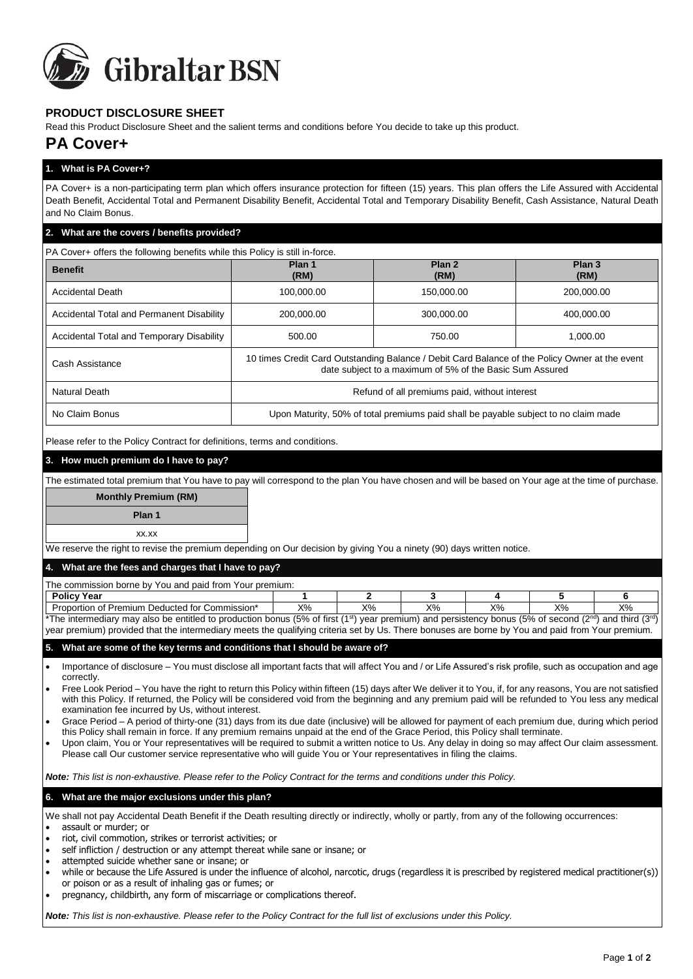

## **PRODUCT DISCLOSURE SHEET**

Read this Product Disclosure Sheet and the salient terms and conditions before You decide to take up this product.

# **PA Cover+**

## **1. What is PA Cover+?**

PA Cover+ is a non-participating term plan which offers insurance protection for fifteen (15) years. This plan offers the Life Assured with Accidental Death Benefit, Accidental Total and Permanent Disability Benefit, Accidental Total and Temporary Disability Benefit, Cash Assistance, Natural Death and No Claim Bonus.

#### **2. What are the covers / benefits provided?**

 $\overline{P}$  PA Cover+ offers the following benefits while this Policy is still in-force.

| <b>Benefit</b>                            | Plan 1<br>(RM)                                                                                                                                             | Plan <sub>2</sub><br>(RM) | Plan <sub>3</sub><br>(RM) |  |  |  |  |
|-------------------------------------------|------------------------------------------------------------------------------------------------------------------------------------------------------------|---------------------------|---------------------------|--|--|--|--|
| <b>Accidental Death</b>                   | 100,000.00                                                                                                                                                 | 150,000.00                | 200,000.00                |  |  |  |  |
| Accidental Total and Permanent Disability | 200.000.00                                                                                                                                                 | 300.000.00                | 400.000.00                |  |  |  |  |
| Accidental Total and Temporary Disability | 500.00                                                                                                                                                     | 750.00                    | 1.000.00                  |  |  |  |  |
| Cash Assistance                           | 10 times Credit Card Outstanding Balance / Debit Card Balance of the Policy Owner at the event<br>date subject to a maximum of 5% of the Basic Sum Assured |                           |                           |  |  |  |  |
| Natural Death                             | Refund of all premiums paid, without interest                                                                                                              |                           |                           |  |  |  |  |
| No Claim Bonus                            | Upon Maturity, 50% of total premiums paid shall be payable subject to no claim made                                                                        |                           |                           |  |  |  |  |

Please refer to the Policy Contract for definitions, terms and conditions.

#### **3. How much premium do I have to pay?**

The estimated total premium that You have to pay will correspond to the plan You have chosen and will be based on Your age at the time of purchase.

## **Monthly Premium (RM)**

**Plan 1**

#### xx.xx

We reserve the right to revise the premium depending on Our decision by giving You a ninety (90) days written notice.

#### **4. What are the fees and charges that I have to pay?**

| The commission borne by You and paid from Your premium:                                                                                                                                      |    |    |    |    |    |       |  |  |
|----------------------------------------------------------------------------------------------------------------------------------------------------------------------------------------------|----|----|----|----|----|-------|--|--|
| <b>Policy Year</b>                                                                                                                                                                           |    |    |    |    |    |       |  |  |
| Proportion of Premium Deducted for Commission*                                                                                                                                               | X% | X% | X% | X% | Х% | $X\%$ |  |  |
| *The intermediary may also be entitled to production bonus (5% of first (1 <sup>st</sup> ) year premium) and persistency bonus (5% of second (2 <sup>nd</sup> ) and third (3 <sup>rd</sup> ) |    |    |    |    |    |       |  |  |

year premium) provided that the intermediary meets the qualifying criteria set by Us. There bonuses are borne by You and paid from Your premium.

#### **5. What are some of the key terms and conditions that I should be aware of?**

 Importance of disclosure – You must disclose all important facts that will affect You and / or Life Assured's risk profile, such as occupation and age correctly.

- Free Look Period You have the right to return this Policy within fifteen (15) days after We deliver it to You, if, for any reasons, You are not satisfied with this Policy. If returned, the Policy will be considered void from the beginning and any premium paid will be refunded to You less any medical examination fee incurred by Us, without interest.
- Grace Period A period of thirty-one (31) days from its due date (inclusive) will be allowed for payment of each premium due, during which period this Policy shall remain in force. If any premium remains unpaid at the end of the Grace Period, this Policy shall terminate.
- Upon claim, You or Your representatives will be required to submit a written notice to Us. Any delay in doing so may affect Our claim assessment. Please call Our customer service representative who will guide You or Your representatives in filing the claims.

*Note: This list is non-exhaustive. Please refer to the Policy Contract for the terms and conditions under this Policy.* 

#### **6. What are the major exclusions under this plan?**

We shall not pay Accidental Death Benefit if the Death resulting directly or indirectly, wholly or partly, from any of the following occurrences: assault or murder; or

- riot, civil commotion, strikes or terrorist activities; or
- self infliction / destruction or any attempt thereat while sane or insane; or
- attempted suicide whether sane or insane; or
- while or because the Life Assured is under the influence of alcohol, narcotic, drugs (regardless it is prescribed by registered medical practitioner(s)) or poison or as a result of inhaling gas or fumes; or
- pregnancy, childbirth, any form of miscarriage or complications thereof.

*Note: This list is non-exhaustive. Please refer to the Policy Contract for the full list of exclusions under this Policy.*